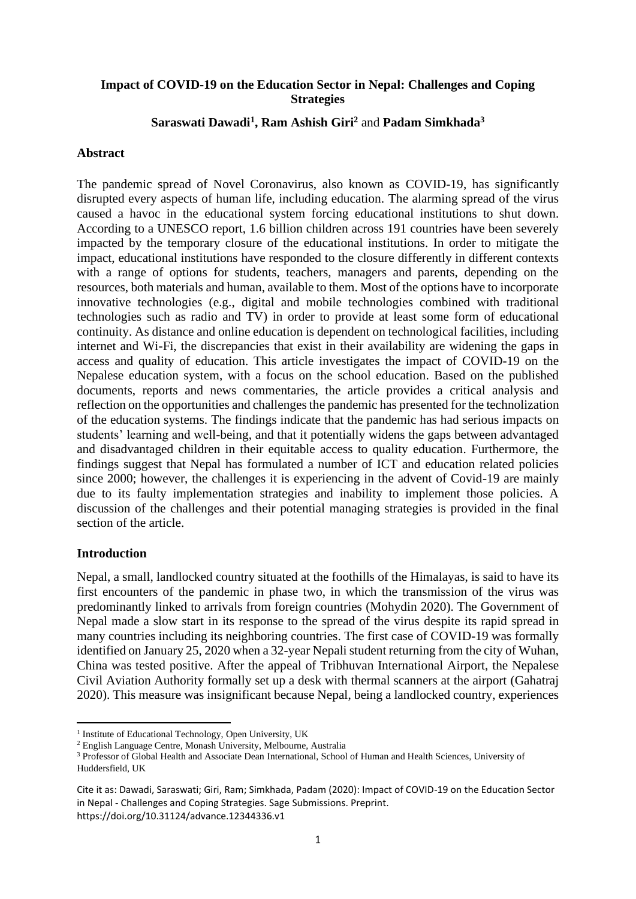## **Impact of COVID-19 on the Education Sector in Nepal: Challenges and Coping Strategies**

### **Saraswati Dawadi<sup>1</sup> , Ram Ashish Giri<sup>2</sup>** and **Padam Simkhada<sup>3</sup>**

#### **Abstract**

The pandemic spread of Novel Coronavirus, also known as COVID-19, has significantly disrupted every aspects of human life, including education. The alarming spread of the virus caused a havoc in the educational system forcing educational institutions to shut down. According to a UNESCO report, 1.6 billion children across 191 countries have been severely impacted by the temporary closure of the educational institutions. In order to mitigate the impact, educational institutions have responded to the closure differently in different contexts with a range of options for students, teachers, managers and parents, depending on the resources, both materials and human, available to them. Most of the options have to incorporate innovative technologies (e.g., digital and mobile technologies combined with traditional technologies such as radio and TV) in order to provide at least some form of educational continuity. As distance and online education is dependent on technological facilities, including internet and Wi-Fi, the discrepancies that exist in their availability are widening the gaps in access and quality of education. This article investigates the impact of COVID-19 on the Nepalese education system, with a focus on the school education. Based on the published documents, reports and news commentaries, the article provides a critical analysis and reflection on the opportunities and challenges the pandemic has presented for the technolization of the education systems. The findings indicate that the pandemic has had serious impacts on students' learning and well-being, and that it potentially widens the gaps between advantaged and disadvantaged children in their equitable access to quality education. Furthermore, the findings suggest that Nepal has formulated a number of ICT and education related policies since 2000; however, the challenges it is experiencing in the advent of Covid-19 are mainly due to its faulty implementation strategies and inability to implement those policies. A discussion of the challenges and their potential managing strategies is provided in the final section of the article.

#### **Introduction**

Nepal, a small, landlocked country situated at the foothills of the Himalayas, is said to have its first encounters of the pandemic in phase two, in which the transmission of the virus was predominantly linked to arrivals from foreign countries (Mohydin 2020). The Government of Nepal made a slow start in its response to the spread of the virus despite its rapid spread in many countries including its neighboring countries. The first case of COVID-19 was formally identified on January 25, 2020 when a 32-year Nepali student returning from the city of Wuhan, China was tested positive. After the appeal of Tribhuvan International Airport, the Nepalese Civil Aviation Authority formally set up a desk with thermal scanners at the airport (Gahatraj 2020). This measure was insignificant because Nepal, being a landlocked country, experiences

<sup>&</sup>lt;sup>1</sup> Institute of Educational Technology, Open University, UK

<sup>2</sup> English Language Centre, Monash University, Melbourne, Australia

<sup>&</sup>lt;sup>3</sup> Professor of Global Health and Associate Dean International, School of Human and Health Sciences, University of Huddersfield, UK

Cite it as: Dawadi, Saraswati; Giri, Ram; Simkhada, Padam (2020): Impact of COVID-19 on the Education Sector in Nepal - Challenges and Coping Strategies. Sage Submissions. Preprint. https://doi.org/10.31124/advance.12344336.v1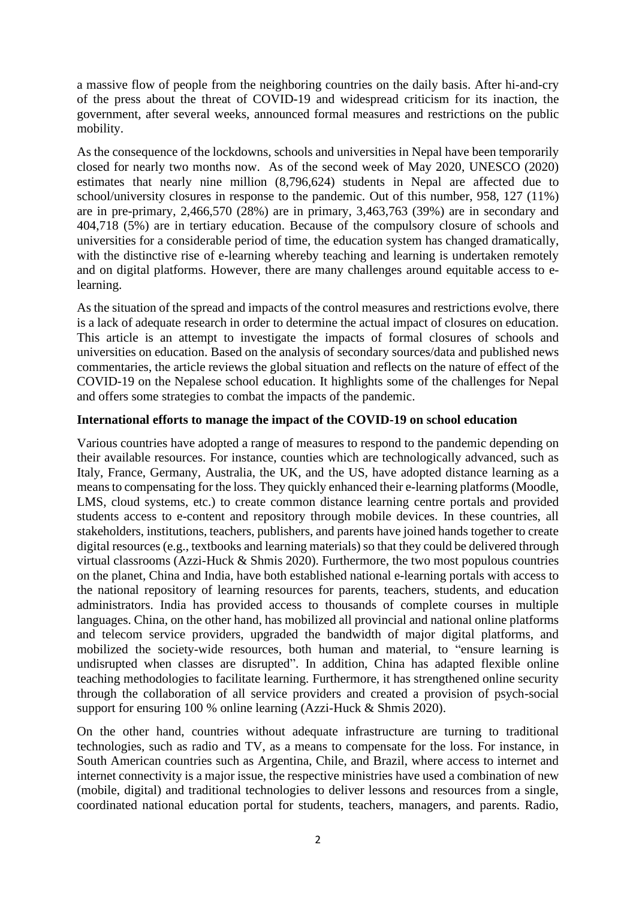a massive flow of people from the neighboring countries on the daily basis. After hi-and-cry of the press about the threat of COVID-19 and widespread criticism for its inaction, the government, after several weeks, announced formal measures and restrictions on the public mobility.

As the consequence of the lockdowns, schools and universities in Nepal have been temporarily closed for nearly two months now. As of the second week of May 2020, UNESCO (2020) estimates that nearly nine million (8,796,624) students in Nepal are affected due to school/university closures in response to the pandemic. Out of this number, 958, 127 (11%) are in pre-primary, 2,466,570 (28%) are in primary, 3,463,763 (39%) are in secondary and 404,718 (5%) are in tertiary education. Because of the compulsory closure of schools and universities for a considerable period of time, the education system has changed dramatically, with the distinctive rise of e-learning whereby teaching and learning is undertaken remotely and on digital platforms. However, there are many challenges around equitable access to elearning.

As the situation of the spread and impacts of the control measures and restrictions evolve, there is a lack of adequate research in order to determine the actual impact of closures on education. This article is an attempt to investigate the impacts of formal closures of schools and universities on education. Based on the analysis of secondary sources/data and published news commentaries, the article reviews the global situation and reflects on the nature of effect of the COVID-19 on the Nepalese school education. It highlights some of the challenges for Nepal and offers some strategies to combat the impacts of the pandemic.

# **International efforts to manage the impact of the COVID-19 on school education**

Various countries have adopted a range of measures to respond to the pandemic depending on their available resources. For instance, counties which are technologically advanced, such as Italy, France, Germany, Australia, the UK, and the US, have adopted distance learning as a means to compensating for the loss. They quickly enhanced their e-learning platforms (Moodle, LMS, cloud systems, etc.) to create common distance learning centre portals and provided students access to e-content and repository through mobile devices. In these countries, all stakeholders, institutions, teachers, publishers, and parents have joined hands together to create digital resources (e.g., textbooks and learning materials) so that they could be delivered through virtual classrooms (Azzi-Huck & Shmis 2020). Furthermore, the two most populous countries on the planet, China and India, have both established national e-learning portals with access to the national repository of learning resources for parents, teachers, students, and education administrators. India has provided access to thousands of complete courses in multiple languages. China, on the other hand, has mobilized all provincial and national online platforms and telecom service providers, upgraded the bandwidth of major digital platforms, and mobilized the society-wide resources, both human and material, to "ensure learning is undisrupted when classes are disrupted". In addition, China has adapted flexible online teaching methodologies to facilitate learning. Furthermore, it has strengthened online security through the collaboration of all service providers and created a provision of psych-social support for ensuring 100 % online learning (Azzi-Huck & Shmis 2020).

On the other hand, countries without adequate infrastructure are turning to traditional technologies, such as radio and TV, as a means to compensate for the loss. For instance, in South American countries such as Argentina, Chile, and Brazil, where access to internet and internet connectivity is a major issue, the respective ministries have used a combination of new (mobile, digital) and traditional technologies to deliver lessons and resources from a single, coordinated national education portal for students, teachers, managers, and parents. Radio,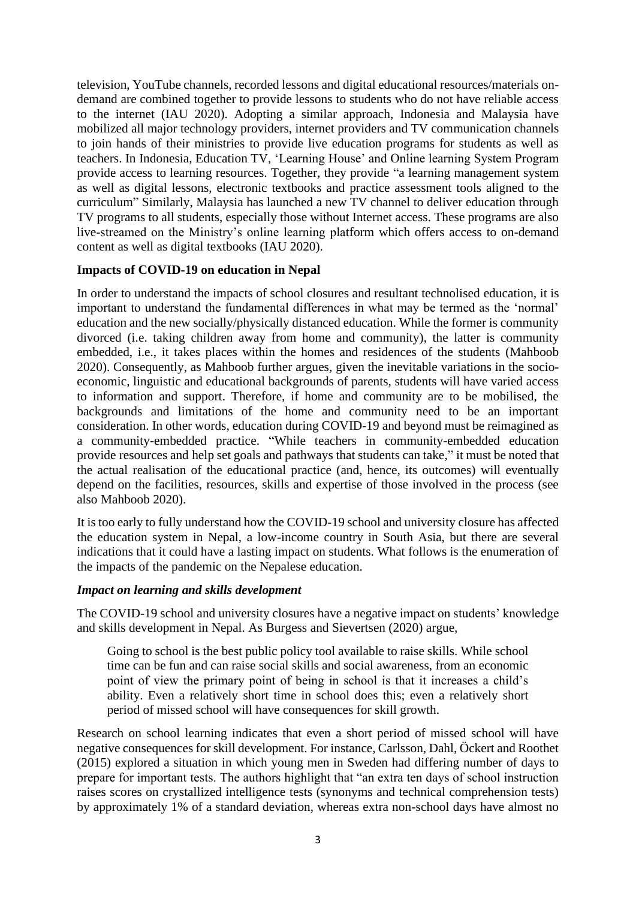television, YouTube channels, recorded lessons and digital educational resources/materials ondemand are combined together to provide lessons to students who do not have reliable access to the internet (IAU 2020). Adopting a similar approach, Indonesia and Malaysia have mobilized all major technology providers, internet providers and TV communication channels to join hands of their ministries to provide live education programs for students as well as teachers. In Indonesia, Education TV, 'Learning House' and Online learning System Program provide access to learning resources. Together, they provide "a learning management system as well as digital lessons, electronic textbooks and practice assessment tools aligned to the curriculum" Similarly, Malaysia has launched a new TV channel to deliver education through TV programs to all students, especially those without Internet access. These programs are also live-streamed on the Ministry's online learning platform which offers access to on-demand content as well as digital textbooks (IAU 2020).

# **Impacts of COVID-19 on education in Nepal**

In order to understand the impacts of school closures and resultant technolised education, it is important to understand the fundamental differences in what may be termed as the 'normal' education and the new socially/physically distanced education. While the former is community divorced (i.e. taking children away from home and community), the latter is community embedded, i.e., it takes places within the homes and residences of the students (Mahboob 2020). Consequently, as Mahboob further argues, given the inevitable variations in the socioeconomic, linguistic and educational backgrounds of parents, students will have varied access to information and support. Therefore, if home and community are to be mobilised, the backgrounds and limitations of the home and community need to be an important consideration. In other words, education during COVID-19 and beyond must be reimagined as a community-embedded practice. "While teachers in community-embedded education provide resources and help set goals and pathways that students can take," it must be noted that the actual realisation of the educational practice (and, hence, its outcomes) will eventually depend on the facilities, resources, skills and expertise of those involved in the process (see also Mahboob 2020).

It is too early to fully understand how the COVID-19 school and university closure has affected the education system in Nepal, a low-income country in South Asia, but there are several indications that it could have a lasting impact on students. What follows is the enumeration of the impacts of the pandemic on the Nepalese education.

### *Impact on learning and skills development*

The COVID-19 school and university closures have a negative impact on students' knowledge and skills development in Nepal. As Burgess and Sievertsen (2020) argue,

Going to school is the best public policy tool available to raise skills. While school time can be fun and can raise social skills and social awareness, from an economic point of view the primary point of being in school is that it increases a child's ability. Even a relatively short time in school does this; even a relatively short period of missed school will have consequences for skill growth.

Research on school learning indicates that even a short period of missed school will have negative consequences for skill development. For instance, Carlsson, Dahl, Öckert and Roothet (2015) explored a situation in which young men in Sweden had differing number of days to prepare for important tests. The authors highlight that "an extra ten days of school instruction raises scores on crystallized intelligence tests (synonyms and technical comprehension tests) by approximately 1% of a standard deviation, whereas extra non-school days have almost no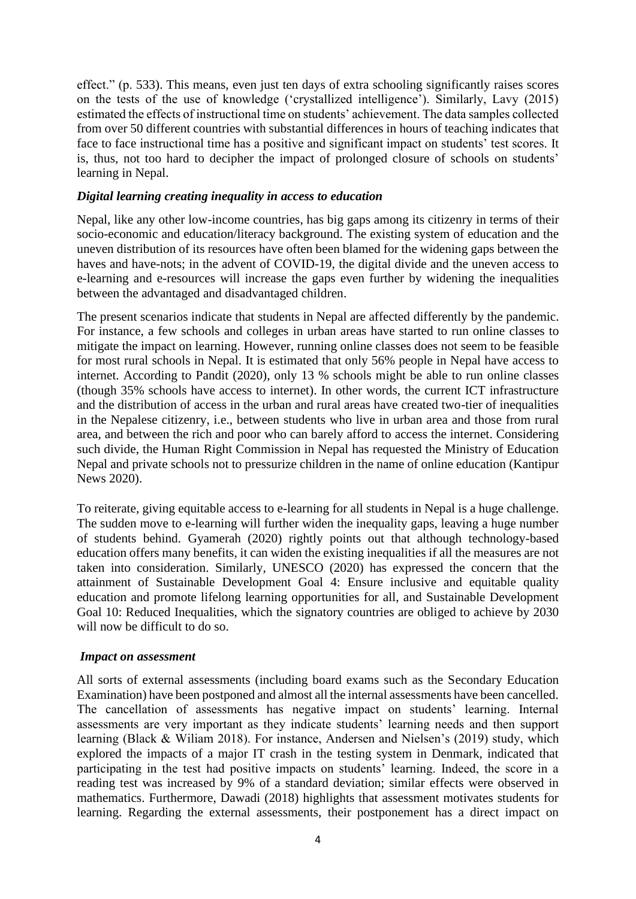effect." (p. 533). This means, even just ten days of extra schooling significantly raises scores on the tests of the use of knowledge ('crystallized intelligence'). Similarly, Lavy (2015) estimated the effects of instructional time on students' achievement. The data samples collected from over 50 different countries with substantial differences in hours of teaching indicates that face to face instructional time has a positive and significant impact on students' test scores. It is, thus, not too hard to decipher the impact of prolonged closure of schools on students' learning in Nepal.

### *Digital learning creating inequality in access to education*

Nepal, like any other low-income countries, has big gaps among its citizenry in terms of their socio-economic and education/literacy background. The existing system of education and the uneven distribution of its resources have often been blamed for the widening gaps between the haves and have-nots; in the advent of COVID-19, the digital divide and the uneven access to e-learning and e-resources will increase the gaps even further by widening the inequalities between the advantaged and disadvantaged children.

The present scenarios indicate that students in Nepal are affected differently by the pandemic. For instance, a few schools and colleges in urban areas have started to run online classes to mitigate the impact on learning. However, running online classes does not seem to be feasible for most rural schools in Nepal. It is estimated that only 56% people in Nepal have access to internet. According to Pandit (2020), only 13 % schools might be able to run online classes (though 35% schools have access to internet). In other words, the current ICT infrastructure and the distribution of access in the urban and rural areas have created two-tier of inequalities in the Nepalese citizenry, i.e., between students who live in urban area and those from rural area, and between the rich and poor who can barely afford to access the internet. Considering such divide, the Human Right Commission in Nepal has requested the Ministry of Education Nepal and private schools not to pressurize children in the name of online education (Kantipur News 2020).

To reiterate, giving equitable access to e-learning for all students in Nepal is a huge challenge. The sudden move to e-learning will further widen the inequality gaps, leaving a huge number of students behind. Gyamerah (2020) rightly points out that although technology-based education offers many benefits, it can widen the existing inequalities if all the measures are not taken into consideration. Similarly, UNESCO (2020) has expressed the concern that the attainment of Sustainable Development Goal 4: Ensure inclusive and equitable quality education and promote lifelong learning opportunities for all, and Sustainable Development Goal 10: Reduced Inequalities, which the signatory countries are obliged to achieve by 2030 will now be difficult to do so.

### *Impact on assessment*

All sorts of external assessments (including board exams such as the Secondary Education Examination) have been postponed and almost all the internal assessments have been cancelled. The cancellation of assessments has negative impact on students' learning. Internal assessments are very important as they indicate students' learning needs and then support learning (Black & Wiliam 2018). For instance, Andersen and Nielsen's (2019) study, which explored the impacts of a major IT crash in the testing system in Denmark, indicated that participating in the test had positive impacts on students' learning. Indeed, the score in a reading test was increased by 9% of a standard deviation; similar effects were observed in mathematics. Furthermore, Dawadi (2018) highlights that assessment motivates students for learning. Regarding the external assessments, their postponement has a direct impact on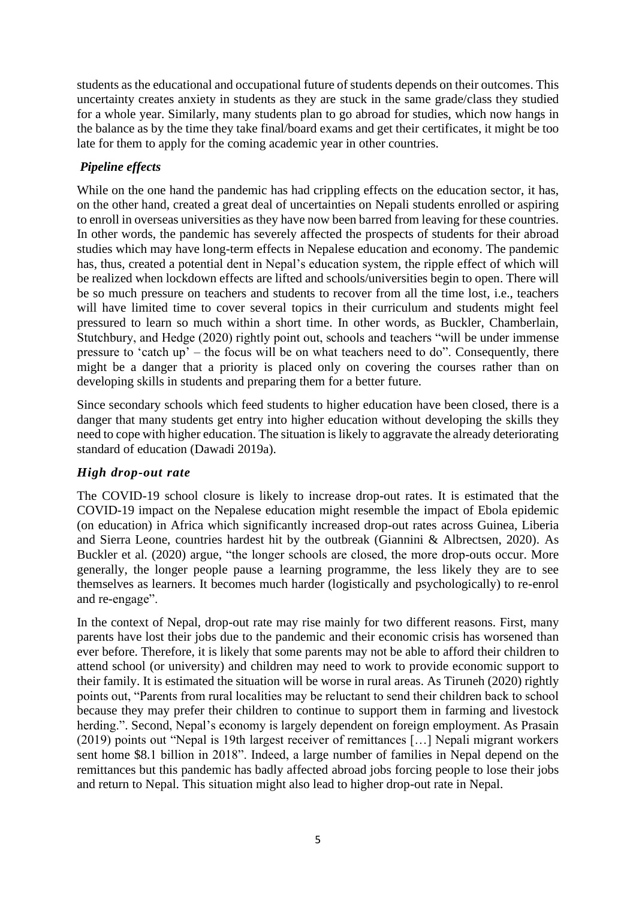students as the educational and occupational future of students depends on their outcomes. This uncertainty creates anxiety in students as they are stuck in the same grade/class they studied for a whole year. Similarly, many students plan to go abroad for studies, which now hangs in the balance as by the time they take final/board exams and get their certificates, it might be too late for them to apply for the coming academic year in other countries.

# *Pipeline effects*

While on the one hand the pandemic has had crippling effects on the education sector, it has, on the other hand, created a great deal of uncertainties on Nepali students enrolled or aspiring to enroll in overseas universities as they have now been barred from leaving for these countries. In other words, the pandemic has severely affected the prospects of students for their abroad studies which may have long-term effects in Nepalese education and economy. The pandemic has, thus, created a potential dent in Nepal's education system, the ripple effect of which will be realized when lockdown effects are lifted and schools/universities begin to open. There will be so much pressure on teachers and students to recover from all the time lost, i.e., teachers will have limited time to cover several topics in their curriculum and students might feel pressured to learn so much within a short time. In other words, as Buckler, Chamberlain, Stutchbury, and Hedge (2020) rightly point out, schools and teachers "will be under immense pressure to 'catch up' – the focus will be on what teachers need to do". Consequently, there might be a danger that a priority is placed only on covering the courses rather than on developing skills in students and preparing them for a better future.

Since secondary schools which feed students to higher education have been closed, there is a danger that many students get entry into higher education without developing the skills they need to cope with higher education. The situation is likely to aggravate the already deteriorating standard of education (Dawadi 2019a).

# *High drop-out rate*

The COVID-19 school closure is likely to increase drop-out rates. It is estimated that the COVID-19 impact on the Nepalese education might resemble the impact of Ebola epidemic (on education) in Africa which significantly increased drop-out rates across Guinea, Liberia and Sierra Leone, countries hardest hit by the outbreak (Giannini & Albrectsen, 2020). As Buckler et al. (2020) argue, "the longer schools are closed, the more drop-outs occur. More generally, the longer people pause a learning programme, the less likely they are to see themselves as learners. It becomes much harder (logistically and psychologically) to re-enrol and re-engage".

In the context of Nepal, drop-out rate may rise mainly for two different reasons. First, many parents have lost their jobs due to the pandemic and their economic crisis has worsened than ever before. Therefore, it is likely that some parents may not be able to afford their children to attend school (or university) and children may need to work to provide economic support to their family. It is estimated the situation will be worse in rural areas. As Tiruneh (2020) rightly points out, "Parents from rural localities may be reluctant to send their children back to school because they may prefer their children to continue to support them in farming and livestock herding.". Second, Nepal's economy is largely dependent on foreign employment. As Prasain (2019) points out "Nepal is 19th largest receiver of remittances […] Nepali migrant workers sent home \$8.1 billion in 2018". Indeed, a large number of families in Nepal depend on the remittances but this pandemic has badly affected abroad jobs forcing people to lose their jobs and return to Nepal. This situation might also lead to higher drop-out rate in Nepal.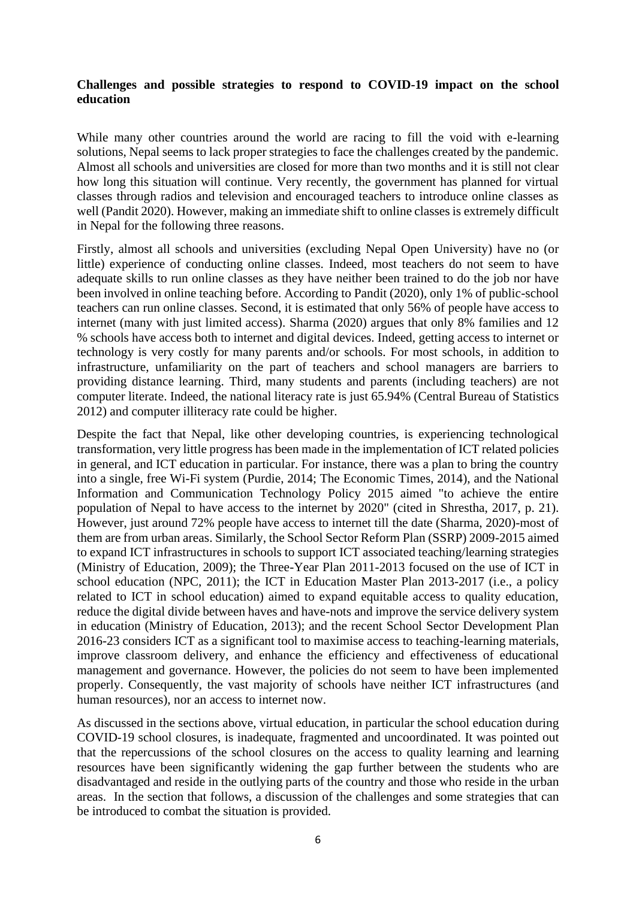# **Challenges and possible strategies to respond to COVID-19 impact on the school education**

While many other countries around the world are racing to fill the void with e-learning solutions, Nepal seems to lack proper strategies to face the challenges created by the pandemic. Almost all schools and universities are closed for more than two months and it is still not clear how long this situation will continue. Very recently, the government has planned for virtual classes through radios and television and encouraged teachers to introduce online classes as well (Pandit 2020). However, making an immediate shift to online classes is extremely difficult in Nepal for the following three reasons.

Firstly, almost all schools and universities (excluding Nepal Open University) have no (or little) experience of conducting online classes. Indeed, most teachers do not seem to have adequate skills to run online classes as they have neither been trained to do the job nor have been involved in online teaching before. According to Pandit (2020), only 1% of public-school teachers can run online classes. Second, it is estimated that only 56% of people have access to internet (many with just limited access). Sharma (2020) argues that only 8% families and 12 % schools have access both to internet and digital devices. Indeed, getting access to internet or technology is very costly for many parents and/or schools. For most schools, in addition to infrastructure, unfamiliarity on the part of teachers and school managers are barriers to providing distance learning. Third, many students and parents (including teachers) are not computer literate. Indeed, the national literacy rate is just 65.94% (Central Bureau of Statistics 2012) and computer illiteracy rate could be higher.

Despite the fact that Nepal, like other developing countries, is experiencing technological transformation, very little progress has been made in the implementation of ICT related policies in general, and ICT education in particular. For instance, there was a plan to bring the country into a single, free Wi-Fi system (Purdie, 2014; The Economic Times, 2014), and the National Information and Communication Technology Policy 2015 aimed "to achieve the entire population of Nepal to have access to the internet by 2020" (cited in Shrestha, 2017, p. 21). However, just around 72% people have access to internet till the date (Sharma, 2020)-most of them are from urban areas. Similarly, the School Sector Reform Plan (SSRP) 2009-2015 aimed to expand ICT infrastructures in schools to support ICT associated teaching/learning strategies (Ministry of Education, 2009); the Three-Year Plan 2011-2013 focused on the use of ICT in school education (NPC, 2011); the ICT in Education Master Plan 2013-2017 (i.e., a policy related to ICT in school education) aimed to expand equitable access to quality education, reduce the digital divide between haves and have-nots and improve the service delivery system in education (Ministry of Education, 2013); and the recent School Sector Development Plan 2016-23 considers ICT as a significant tool to maximise access to teaching-learning materials, improve classroom delivery, and enhance the efficiency and effectiveness of educational management and governance. However, the policies do not seem to have been implemented properly. Consequently, the vast majority of schools have neither ICT infrastructures (and human resources), nor an access to internet now.

As discussed in the sections above, virtual education, in particular the school education during COVID-19 school closures, is inadequate, fragmented and uncoordinated. It was pointed out that the repercussions of the school closures on the access to quality learning and learning resources have been significantly widening the gap further between the students who are disadvantaged and reside in the outlying parts of the country and those who reside in the urban areas. In the section that follows, a discussion of the challenges and some strategies that can be introduced to combat the situation is provided.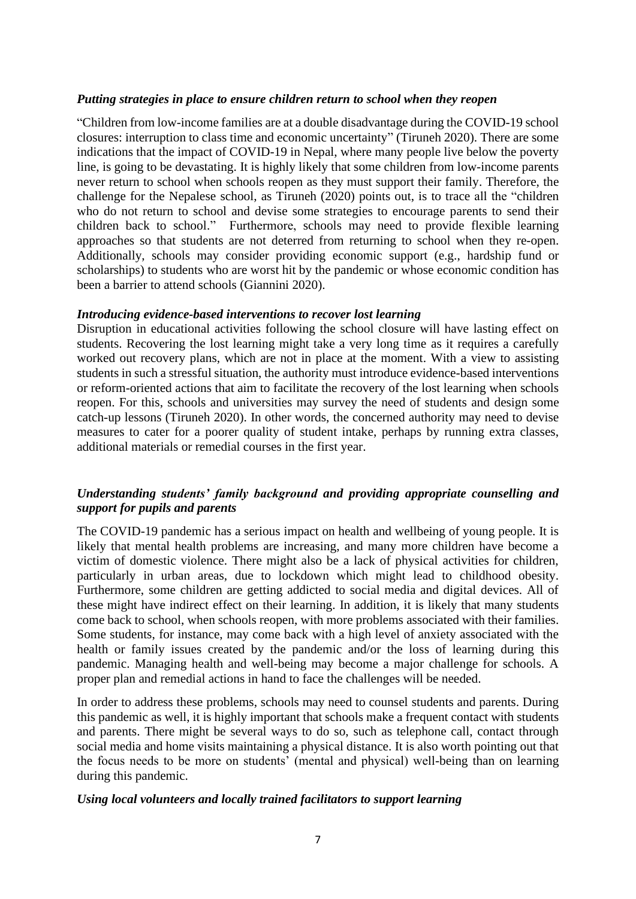#### *Putting strategies in place to ensure children return to school when they reopen*

"Children from low-income families are at a double disadvantage during the COVID-19 school closures: interruption to class time and economic uncertainty" (Tiruneh 2020). There are some indications that the impact of COVID-19 in Nepal, where many people live below the poverty line, is going to be devastating. It is highly likely that some children from low-income parents never return to school when schools reopen as they must support their family. Therefore, the challenge for the Nepalese school, as Tiruneh (2020) points out, is to trace all the "children who do not return to school and devise some strategies to encourage parents to send their children back to school." Furthermore, schools may need to provide flexible learning approaches so that students are not deterred from returning to school when they re-open. Additionally, schools may consider providing economic support (e.g., hardship fund or scholarships) to students who are worst hit by the pandemic or whose economic condition has been a barrier to attend schools (Giannini 2020).

### *Introducing evidence-based interventions to recover lost learning*

Disruption in educational activities following the school closure will have lasting effect on students. Recovering the lost learning might take a very long time as it requires a carefully worked out recovery plans, which are not in place at the moment. With a view to assisting students in such a stressful situation, the authority must introduce evidence-based interventions or reform-oriented actions that aim to facilitate the recovery of the lost learning when schools reopen. For this, schools and universities may survey the need of students and design some catch-up lessons (Tiruneh 2020). In other words, the concerned authority may need to devise measures to cater for a poorer quality of student intake, perhaps by running extra classes, additional materials or remedial courses in the first year.

# *Understanding students' family background and providing appropriate counselling and support for pupils and parents*

The COVID-19 pandemic has a serious impact on health and wellbeing of young people. It is likely that mental health problems are increasing, and many more children have become a victim of domestic violence. There might also be a lack of physical activities for children, particularly in urban areas, due to lockdown which might lead to childhood obesity. Furthermore, some children are getting addicted to social media and digital devices. All of these might have indirect effect on their learning. In addition, it is likely that many students come back to school, when schools reopen, with more problems associated with their families. Some students, for instance, may come back with a high level of anxiety associated with the health or family issues created by the pandemic and/or the loss of learning during this pandemic. Managing health and well-being may become a major challenge for schools. A proper plan and remedial actions in hand to face the challenges will be needed.

In order to address these problems, schools may need to counsel students and parents. During this pandemic as well, it is highly important that schools make a frequent contact with students and parents. There might be several ways to do so, such as telephone call, contact through social media and home visits maintaining a physical distance. It is also worth pointing out that the focus needs to be more on students' (mental and physical) well-being than on learning during this pandemic.

#### *Using local volunteers and locally trained facilitators to support learning*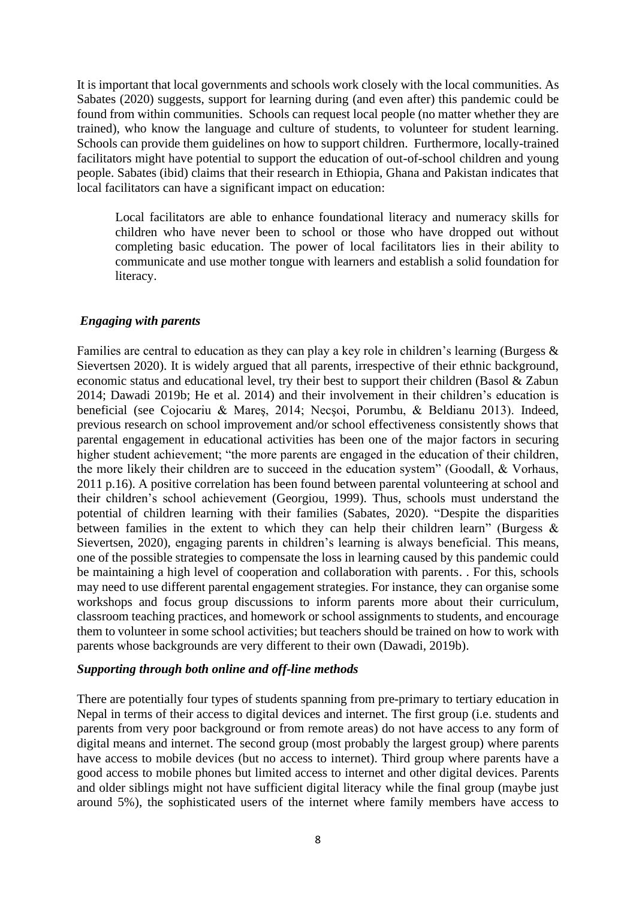It is important that local governments and schools work closely with the local communities. As Sabates (2020) suggests, support for learning during (and even after) this pandemic could be found from within communities. Schools can request local people (no matter whether they are trained), who know the language and culture of students, to volunteer for student learning. Schools can provide them guidelines on how to support children. Furthermore, locally-trained facilitators might have potential to support the education of out-of-school children and young people. Sabates (ibid) claims that their research in Ethiopia, Ghana and Pakistan indicates that local facilitators can have a significant impact on education:

Local facilitators are able to enhance foundational literacy and numeracy skills for children who have never been to school or those who have dropped out without completing basic education. The power of local facilitators lies in their ability to communicate and use mother tongue with learners and establish a solid foundation for literacy.

#### *Engaging with parents*

Families are central to education as they can play a key role in children's learning (Burgess & Sievertsen 2020). It is widely argued that all parents, irrespective of their ethnic background, economic status and educational level, try their best to support their children (Basol & Zabun 2014; Dawadi 2019b; He et al. 2014) and their involvement in their children's education is beneficial (see Cojocariu & Mareş, 2014; Necşoi, Porumbu, & Beldianu 2013). Indeed, previous research on school improvement and/or school effectiveness consistently shows that parental engagement in educational activities has been one of the major factors in securing higher student achievement; "the more parents are engaged in the education of their children, the more likely their children are to succeed in the education system" (Goodall, & Vorhaus, 2011 p.16). A positive correlation has been found between parental volunteering at school and their children's school achievement (Georgiou, 1999). Thus, schools must understand the potential of children learning with their families (Sabates, 2020). "Despite the disparities between families in the extent to which they can help their children learn" (Burgess  $\&$ Sievertsen, 2020), engaging parents in children's learning is always beneficial. This means, one of the possible strategies to compensate the loss in learning caused by this pandemic could be maintaining a high level of cooperation and collaboration with parents. . For this, schools may need to use different parental engagement strategies. For instance, they can organise some workshops and focus group discussions to inform parents more about their curriculum, classroom teaching practices, and homework or school assignments to students, and encourage them to volunteer in some school activities; but teachers should be trained on how to work with parents whose backgrounds are very different to their own (Dawadi, 2019b).

#### *Supporting through both online and off-line methods*

There are potentially four types of students spanning from pre-primary to tertiary education in Nepal in terms of their access to digital devices and internet. The first group (i.e. students and parents from very poor background or from remote areas) do not have access to any form of digital means and internet. The second group (most probably the largest group) where parents have access to mobile devices (but no access to internet). Third group where parents have a good access to mobile phones but limited access to internet and other digital devices. Parents and older siblings might not have sufficient digital literacy while the final group (maybe just around 5%), the sophisticated users of the internet where family members have access to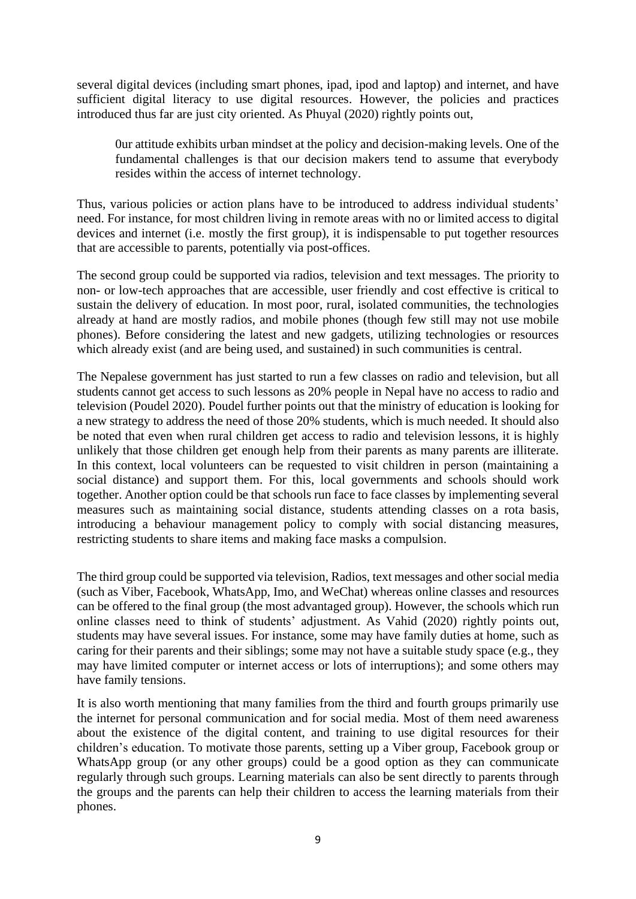several digital devices (including smart phones, ipad, ipod and laptop) and internet, and have sufficient digital literacy to use digital resources. However, the policies and practices introduced thus far are just city oriented. As Phuyal (2020) rightly points out,

0ur attitude exhibits urban mindset at the policy and decision-making levels. One of the fundamental challenges is that our decision makers tend to assume that everybody resides within the access of internet technology.

Thus, various policies or action plans have to be introduced to address individual students' need. For instance, for most children living in remote areas with no or limited access to digital devices and internet (i.e. mostly the first group), it is indispensable to put together resources that are accessible to parents, potentially via post-offices.

The second group could be supported via radios, television and text messages. The priority to non- or low-tech approaches that are accessible, user friendly and cost effective is critical to sustain the delivery of education. In most poor, rural, isolated communities, the technologies already at hand are mostly radios, and mobile phones (though few still may not use mobile phones). Before considering the latest and new gadgets, utilizing technologies or resources which already exist (and are being used, and sustained) in such communities is central.

The Nepalese government has just started to run a few classes on radio and television, but all students cannot get access to such lessons as 20% people in Nepal have no access to radio and television (Poudel 2020). Poudel further points out that the ministry of education is looking for a new strategy to address the need of those 20% students, which is much needed. It should also be noted that even when rural children get access to radio and television lessons, it is highly unlikely that those children get enough help from their parents as many parents are illiterate. In this context, local volunteers can be requested to visit children in person (maintaining a social distance) and support them. For this, local governments and schools should work together. Another option could be that schools run face to face classes by implementing several measures such as maintaining social distance, students attending classes on a rota basis, introducing a behaviour management policy to comply with social distancing measures, restricting students to share items and making face masks a compulsion.

The third group could be supported via television, Radios, text messages and other social media (such as Viber, Facebook, WhatsApp, Imo, and WeChat) whereas online classes and resources can be offered to the final group (the most advantaged group). However, the schools which run online classes need to think of students' adjustment. As Vahid (2020) rightly points out, students may have several issues. For instance, some may have family duties at home, such as caring for their parents and their siblings; some may not have a suitable study space (e.g., they may have limited computer or internet access or lots of interruptions); and some others may have family tensions.

It is also worth mentioning that many families from the third and fourth groups primarily use the internet for personal communication and for social media. Most of them need awareness about the existence of the digital content, and training to use digital resources for their children's education. To motivate those parents, setting up a Viber group, Facebook group or WhatsApp group (or any other groups) could be a good option as they can communicate regularly through such groups. Learning materials can also be sent directly to parents through the groups and the parents can help their children to access the learning materials from their phones.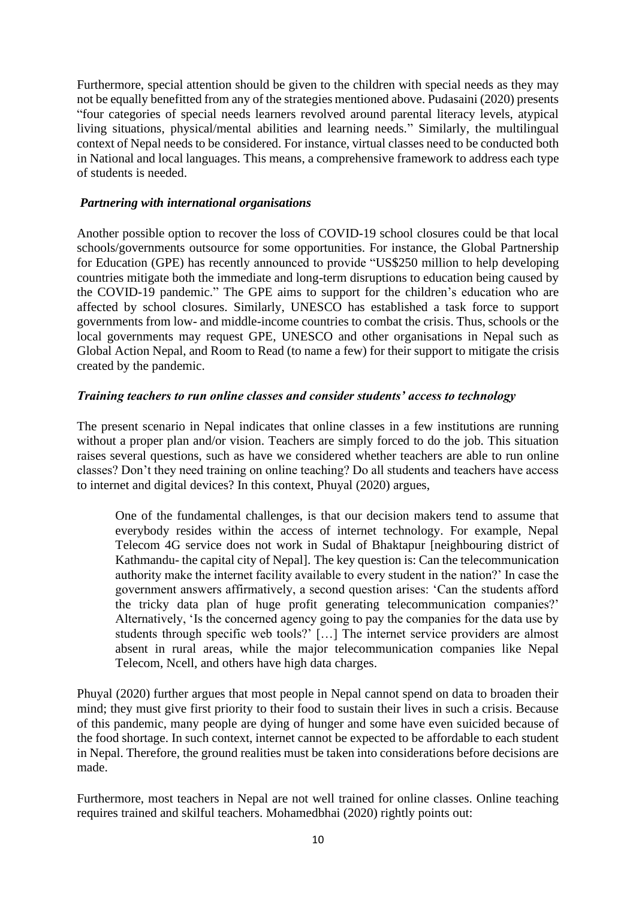Furthermore, special attention should be given to the children with special needs as they may not be equally benefitted from any of the strategies mentioned above. Pudasaini (2020) presents "four categories of special needs learners revolved around parental literacy levels, atypical living situations, physical/mental abilities and learning needs." Similarly, the multilingual context of Nepal needs to be considered. For instance, virtual classes need to be conducted both in National and local languages. This means, a comprehensive framework to address each type of students is needed.

### *Partnering with international organisations*

Another possible option to recover the loss of COVID-19 school closures could be that local schools/governments outsource for some opportunities. For instance, the Global Partnership for Education (GPE) has recently announced to provide "US\$250 million to help developing countries mitigate both the immediate and long-term disruptions to education being caused by the COVID-19 pandemic." The GPE aims to support for the children's education who are affected by school closures. Similarly, UNESCO has established a task force to support governments from low- and middle-income countries to combat the crisis. Thus, schools or the local governments may request GPE, UNESCO and other organisations in Nepal such as Global Action Nepal, and Room to Read (to name a few) for their support to mitigate the crisis created by the pandemic.

# *Training teachers to run online classes and consider students' access to technology*

The present scenario in Nepal indicates that online classes in a few institutions are running without a proper plan and/or vision. Teachers are simply forced to do the job. This situation raises several questions, such as have we considered whether teachers are able to run online classes? Don't they need training on online teaching? Do all students and teachers have access to internet and digital devices? In this context, Phuyal (2020) argues,

One of the fundamental challenges, is that our decision makers tend to assume that everybody resides within the access of internet technology. For example, Nepal Telecom 4G service does not work in Sudal of Bhaktapur [neighbouring district of Kathmandu- the capital city of Nepal]. The key question is: Can the telecommunication authority make the internet facility available to every student in the nation?' In case the government answers affirmatively, a second question arises: 'Can the students afford the tricky data plan of huge profit generating telecommunication companies?' Alternatively, 'Is the concerned agency going to pay the companies for the data use by students through specific web tools?' […] The internet service providers are almost absent in rural areas, while the major telecommunication companies like Nepal Telecom, Ncell, and others have high data charges.

Phuyal (2020) further argues that most people in Nepal cannot spend on data to broaden their mind; they must give first priority to their food to sustain their lives in such a crisis. Because of this pandemic, many people are dying of hunger and some have even suicided because of the food shortage. In such context, internet cannot be expected to be affordable to each student in Nepal. Therefore, the ground realities must be taken into considerations before decisions are made.

Furthermore, most teachers in Nepal are not well trained for online classes. Online teaching requires trained and skilful teachers. Mohamedbhai (2020) rightly points out: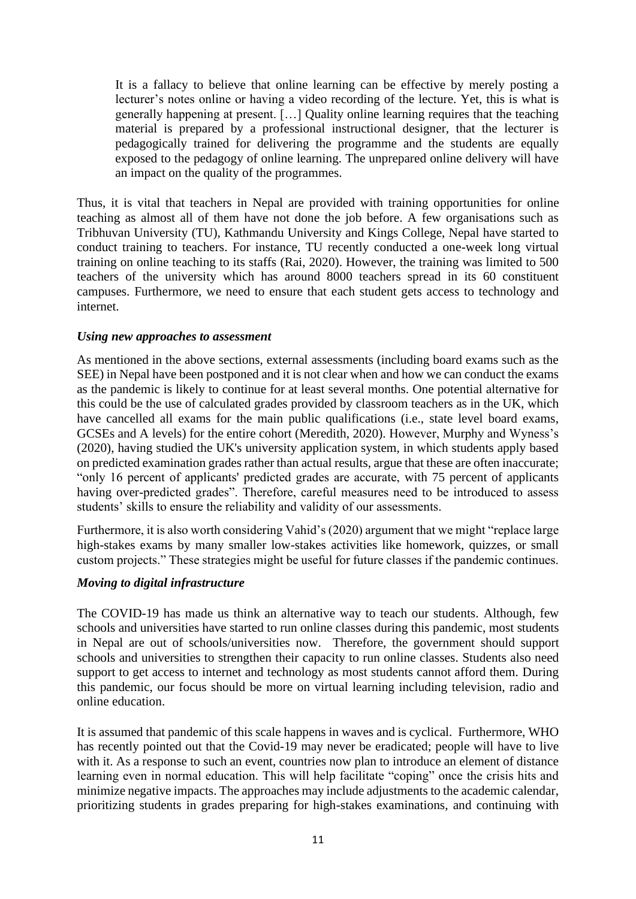It is a fallacy to believe that online learning can be effective by merely posting a lecturer's notes online or having a video recording of the lecture. Yet, this is what is generally happening at present. […] Quality online learning requires that the teaching material is prepared by a professional instructional designer, that the lecturer is pedagogically trained for delivering the programme and the students are equally exposed to the pedagogy of online learning. The unprepared online delivery will have an impact on the quality of the programmes.

Thus, it is vital that teachers in Nepal are provided with training opportunities for online teaching as almost all of them have not done the job before. A few organisations such as Tribhuvan University (TU), Kathmandu University and Kings College, Nepal have started to conduct training to teachers. For instance, TU recently conducted a one-week long virtual training on online teaching to its staffs (Rai, 2020). However, the training was limited to 500 teachers of the university which has around 8000 teachers spread in its 60 constituent campuses. Furthermore, we need to ensure that each student gets access to technology and internet.

### *Using new approaches to assessment*

As mentioned in the above sections, external assessments (including board exams such as the SEE) in Nepal have been postponed and it is not clear when and how we can conduct the exams as the pandemic is likely to continue for at least several months. One potential alternative for this could be the use of calculated grades provided by classroom teachers as in the UK, which have cancelled all exams for the main public qualifications (i.e., state level board exams, GCSEs and A levels) for the entire cohort (Meredith, 2020). However, Murphy and Wyness's (2020), having studied the UK's university application system, in which students apply based on predicted examination grades rather than actual results, argue that these are often inaccurate; "only 16 percent of applicants' predicted grades are accurate, with 75 percent of applicants having over-predicted grades". Therefore, careful measures need to be introduced to assess students' skills to ensure the reliability and validity of our assessments.

Furthermore, it is also worth considering Vahid's (2020) argument that we might "replace large high-stakes exams by many smaller low-stakes activities like homework, quizzes, or small custom projects." These strategies might be useful for future classes if the pandemic continues.

### *Moving to digital infrastructure*

The COVID-19 has made us think an alternative way to teach our students. Although, few schools and universities have started to run online classes during this pandemic, most students in Nepal are out of schools/universities now. Therefore, the government should support schools and universities to strengthen their capacity to run online classes. Students also need support to get access to internet and technology as most students cannot afford them. During this pandemic, our focus should be more on virtual learning including television, radio and online education.

It is assumed that pandemic of this scale happens in waves and is cyclical. Furthermore, WHO has recently pointed out that the Covid-19 may never be eradicated; people will have to live with it. As a response to such an event, countries now plan to introduce an element of distance learning even in normal education. This will help facilitate "coping" once the crisis hits and minimize negative impacts. The approaches may include adjustments to the academic calendar, prioritizing students in grades preparing for high-stakes examinations, and continuing with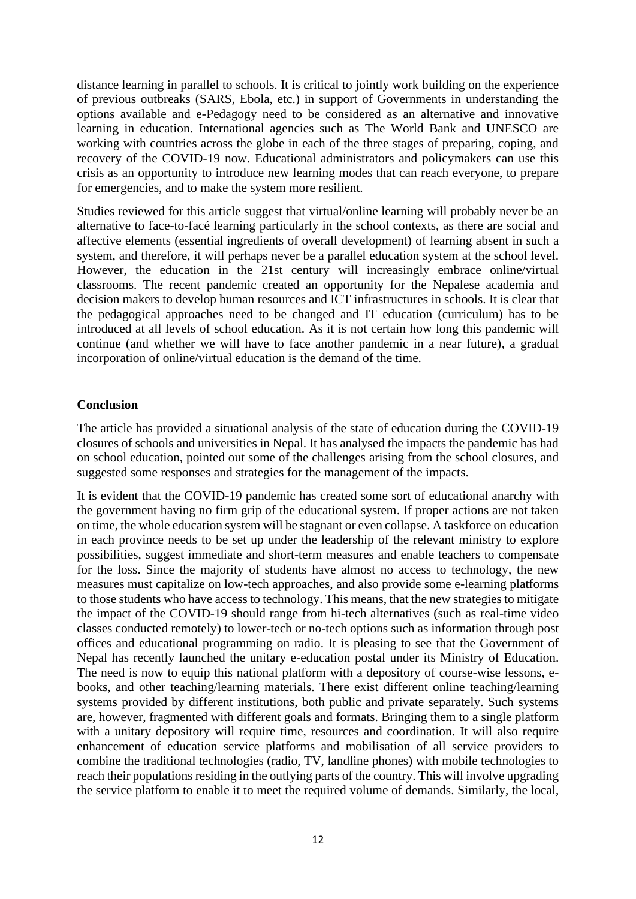distance learning in parallel to schools. It is critical to jointly work building on the experience of previous outbreaks (SARS, Ebola, etc.) in support of Governments in understanding the options available and e-Pedagogy need to be considered as an alternative and innovative learning in education. International agencies such as The World Bank and UNESCO are working with countries across the globe in each of the three stages of preparing, coping, and recovery of the COVID-19 now. Educational administrators and policymakers can use this crisis as an opportunity to introduce new learning modes that can reach everyone, to prepare for emergencies, and to make the system more resilient.

Studies reviewed for this article suggest that virtual/online learning will probably never be an alternative to face-to-facé learning particularly in the school contexts, as there are social and affective elements (essential ingredients of overall development) of learning absent in such a system, and therefore, it will perhaps never be a parallel education system at the school level. However, the education in the 21st century will increasingly embrace online/virtual classrooms. The recent pandemic created an opportunity for the Nepalese academia and decision makers to develop human resources and ICT infrastructures in schools. It is clear that the pedagogical approaches need to be changed and IT education (curriculum) has to be introduced at all levels of school education. As it is not certain how long this pandemic will continue (and whether we will have to face another pandemic in a near future), a gradual incorporation of online/virtual education is the demand of the time.

# **Conclusion**

The article has provided a situational analysis of the state of education during the COVID-19 closures of schools and universities in Nepal. It has analysed the impacts the pandemic has had on school education, pointed out some of the challenges arising from the school closures, and suggested some responses and strategies for the management of the impacts.

It is evident that the COVID-19 pandemic has created some sort of educational anarchy with the government having no firm grip of the educational system. If proper actions are not taken on time, the whole education system will be stagnant or even collapse. A taskforce on education in each province needs to be set up under the leadership of the relevant ministry to explore possibilities, suggest immediate and short-term measures and enable teachers to compensate for the loss. Since the majority of students have almost no access to technology, the new measures must capitalize on low-tech approaches, and also provide some e-learning platforms to those students who have access to technology. This means, that the new strategies to mitigate the impact of the COVID-19 should range from hi-tech alternatives (such as real-time video classes conducted remotely) to lower-tech or no-tech options such as information through post offices and educational programming on radio. It is pleasing to see that the Government of Nepal has recently launched the unitary e-education postal under its Ministry of Education. The need is now to equip this national platform with a depository of course-wise lessons, ebooks, and other teaching/learning materials. There exist different online teaching/learning systems provided by different institutions, both public and private separately. Such systems are, however, fragmented with different goals and formats. Bringing them to a single platform with a unitary depository will require time, resources and coordination. It will also require enhancement of education service platforms and mobilisation of all service providers to combine the traditional technologies (radio, TV, landline phones) with mobile technologies to reach their populations residing in the outlying parts of the country. This will involve upgrading the service platform to enable it to meet the required volume of demands. Similarly, the local,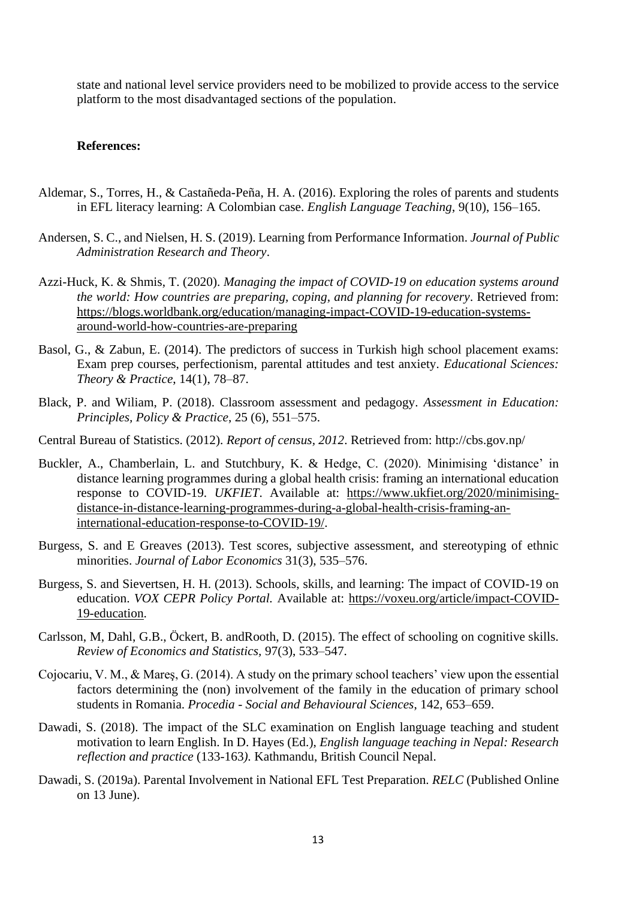state and national level service providers need to be mobilized to provide access to the service platform to the most disadvantaged sections of the population.

#### **References:**

- Aldemar, S., Torres, H., & Castañeda-Peña, H. A. (2016). Exploring the roles of parents and students in EFL literacy learning: A Colombian case. *English Language Teaching*, 9(10), 156–165.
- Andersen, S. C., and Nielsen, H. S. (2019). Learning from Performance Information. *Journal of Public Administration Research and Theory*.
- Azzi-Huck, K. & Shmis, T. (2020). *Managing the impact of COVID-19 on education systems around the world: How countries are preparing, coping, and planning for recovery*. Retrieved from: [https://blogs.worldbank.org/education/managing-impact-COVID-19-education-systems](https://blogs.worldbank.org/education/managing-impact-covid-19-education-systems-around-world-how-countries-are-preparing)[around-world-how-countries-are-preparing](https://blogs.worldbank.org/education/managing-impact-covid-19-education-systems-around-world-how-countries-are-preparing)
- Basol, G., & Zabun, E. (2014). The predictors of success in Turkish high school placement exams: Exam prep courses, perfectionism, parental attitudes and test anxiety. *Educational Sciences: Theory & Practice*, 14(1), 78–87.
- Black, P. and Wiliam, P. (2018). Classroom assessment and pedagogy. *Assessment in Education: Principles, Policy & Practice*, 25 (6), 551–575.
- Central Bureau of Statistics. (2012). *Report of census, 2012*. Retrieved from: http://cbs.gov.np/
- Buckler, A., Chamberlain, L. and Stutchbury, K. & Hedge, C. (2020). Minimising 'distance' in distance learning programmes during a global health crisis: framing an international education response to COVID-19. *UKFIET*. Available at: [https://www.ukfiet.org/2020/minimising](https://www.ukfiet.org/2020/minimising-distance-in-distance-learning-programmes-during-a-global-health-crisis-framing-an-international-education-response-to-covid-19/)[distance-in-distance-learning-programmes-during-a-global-health-crisis-framing-an](https://www.ukfiet.org/2020/minimising-distance-in-distance-learning-programmes-during-a-global-health-crisis-framing-an-international-education-response-to-covid-19/)[international-education-response-to-COVID-19/.](https://www.ukfiet.org/2020/minimising-distance-in-distance-learning-programmes-during-a-global-health-crisis-framing-an-international-education-response-to-covid-19/)
- Burgess, S. and E Greaves (2013). Test scores, subjective assessment, and stereotyping of ethnic minorities. *Journal of Labor Economics* 31(3), 535–576.
- Burgess, S. and Sievertsen, H. H. (2013). Schools, skills, and learning: The impact of COVID-19 on education. *VOX CEPR Policy Portal.* Available at: [https://voxeu.org/article/impact-COVID-](https://voxeu.org/article/impact-covid-19-education)[19-education.](https://voxeu.org/article/impact-covid-19-education)
- Carlsson, M, Dahl, G.B., Öckert, B. andRooth, D. (2015). The effect of schooling on cognitive skills. *Review of Economics and Statistics,* 97(3), 533–547.
- Cojocariu, V. M., & Mareş, G. (2014). A study on the primary school teachers' view upon the essential factors determining the (non) involvement of the family in the education of primary school students in Romania. *Procedia - Social and Behavioural Sciences*, 142, 653–659.
- Dawadi, S. (2018). The impact of the SLC examination on English language teaching and student motivation to learn English. In D. Hayes (Ed.), *English language teaching in Nepal: Research reflection and practice* (133-163*).* Kathmandu, British Council Nepal.
- Dawadi, S. (2019a). Parental Involvement in National EFL Test Preparation. *RELC* (Published Online on 13 June).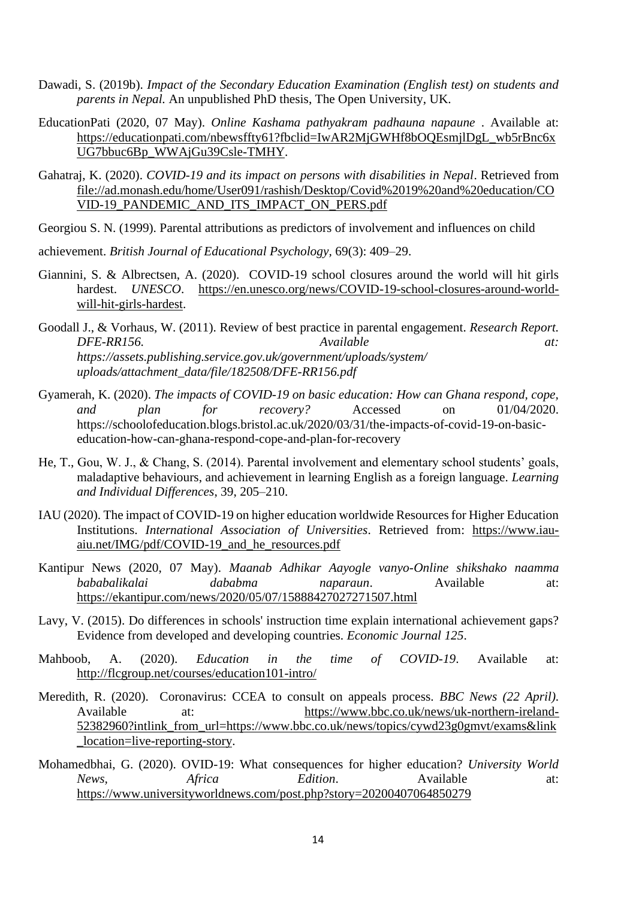- Dawadi, S. (2019b). *Impact of the Secondary Education Examination (English test) on students and parents in Nepal.* An unpublished PhD thesis, The Open University, UK.
- EducationPati (2020, 07 May). *Online Kashama pathyakram padhauna napaune* . Available at: [https://educationpati.com/nbewsffty61?fbclid=IwAR2MjGWHf8bOQEsmjlDgL\\_wb5rBnc6x](https://educationpati.com/nbewsffty61?fbclid=IwAR2MjGWHf8bOQEsmjlDgL_wb5rBnc6xUG7bbuc6Bp_WWAjGu39Csle-TMHY) [UG7bbuc6Bp\\_WWAjGu39Csle-TMHY.](https://educationpati.com/nbewsffty61?fbclid=IwAR2MjGWHf8bOQEsmjlDgL_wb5rBnc6xUG7bbuc6Bp_WWAjGu39Csle-TMHY)
- Gahatraj, K. (2020). *COVID-19 and its impact on persons with disabilities in Nepal*. Retrieved from [file://ad.monash.edu/home/User091/rashish/Desktop/Covid%2019%20and%20education/CO](file://///ad.monash.edu/home/User091/rashish/Desktop/Covid%2019%20and%20education/COVID-19_PANDEMIC_AND_ITS_IMPACT_ON_PERS.pdf) [VID-19\\_PANDEMIC\\_AND\\_ITS\\_IMPACT\\_ON\\_PERS.pdf](file://///ad.monash.edu/home/User091/rashish/Desktop/Covid%2019%20and%20education/COVID-19_PANDEMIC_AND_ITS_IMPACT_ON_PERS.pdf)
- Georgiou S. N. (1999). Parental attributions as predictors of involvement and influences on child
- achievement. *British Journal of Educational Psychology,* 69(3): 409–29.
- Giannini, S. & Albrectsen, A. (2020). COVID-19 school closures around the world will hit girls hardest. *UNESCO*. [https://en.unesco.org/news/COVID-19-school-closures-around-world](https://en.unesco.org/news/covid-19-school-closures-around-world-will-hit-girls-hardest)[will-hit-girls-hardest.](https://en.unesco.org/news/covid-19-school-closures-around-world-will-hit-girls-hardest)
- Goodall J., & Vorhaus, W. (2011). Review of best practice in parental engagement. *Research Report. DFE-RR156. Available at: https://assets.publishing.service.gov.uk/government/uploads/system/ uploads/attachment\_data/file/182508/DFE-RR156.pdf*
- Gyamerah, K. (2020). *The impacts of COVID-19 on basic education: How can Ghana respond, cope, and plan for recovery?* Accessed on 01/04/2020. https://schoolofeducation.blogs.bristol.ac.uk/2020/03/31/the-impacts-of-covid-19-on-basiceducation-how-can-ghana-respond-cope-and-plan-for-recovery
- He, T., Gou, W. J., & Chang, S. (2014). Parental involvement and elementary school students' goals, maladaptive behaviours, and achievement in learning English as a foreign language. *Learning and Individual Differences*, 39, 205–210.
- IAU (2020). The impact of COVID-19 on higher education worldwide Resources for Higher Education Institutions. *International Association of Universities*. Retrieved from: [https://www.iau](https://www.iau-aiu.net/IMG/pdf/covid-19_and_he_resources.pdf)[aiu.net/IMG/pdf/COVID-19\\_and\\_he\\_resources.pdf](https://www.iau-aiu.net/IMG/pdf/covid-19_and_he_resources.pdf)
- Kantipur News (2020, 07 May). *Maanab Adhikar Aayogle vanyo-Online shikshako naamma bababalikalai dababma naparaun*. Available at: <https://ekantipur.com/news/2020/05/07/15888427027271507.html>
- Lavy, V. (2015). Do differences in schools' instruction time explain international achievement gaps? Evidence from developed and developing countries. *Economic Journal 125*.
- Mahboob, A. (2020). *Education in the time of COVID-19*. Available at: <http://flcgroup.net/courses/education101-intro/>
- Meredith, R. (2020). Coronavirus: CCEA to consult on appeals process. *BBC News (22 April).* Available at: [https://www.bbc.co.uk/news/uk-northern-ireland-](https://www.bbc.co.uk/news/uk-northern-ireland-52382960?intlink_from_url=https://www.bbc.co.uk/news/topics/cywd23g0gmvt/exams&link_location=live-reporting-story)[52382960?intlink\\_from\\_url=https://www.bbc.co.uk/news/topics/cywd23g0gmvt/exams&link](https://www.bbc.co.uk/news/uk-northern-ireland-52382960?intlink_from_url=https://www.bbc.co.uk/news/topics/cywd23g0gmvt/exams&link_location=live-reporting-story) [\\_location=live-reporting-story.](https://www.bbc.co.uk/news/uk-northern-ireland-52382960?intlink_from_url=https://www.bbc.co.uk/news/topics/cywd23g0gmvt/exams&link_location=live-reporting-story)
- Mohamedbhai, G. (2020). OVID-19: What consequences for higher education? *University World News, Africa Edition*. Available at: <https://www.universityworldnews.com/post.php?story=20200407064850279>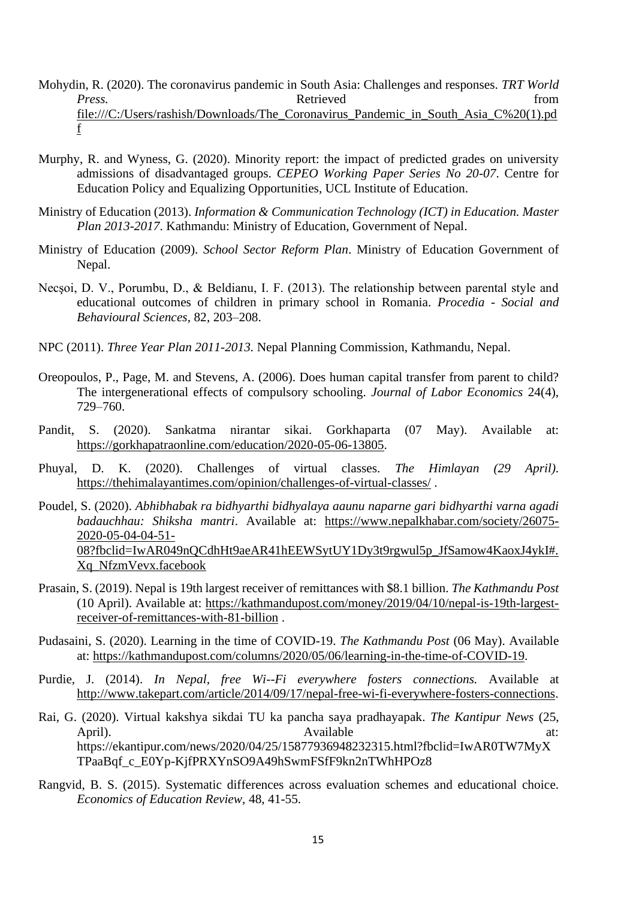- Mohydin, R. (2020). The coronavirus pandemic in South Asia: Challenges and responses. *TRT World Press.* from Retrieved from  $\blacksquare$ [file:///C:/Users/rashish/Downloads/The\\_Coronavirus\\_Pandemic\\_in\\_South\\_Asia\\_C%20\(1\).pd](file:///C:/Users/rashish/Downloads/The_Coronavirus_Pandemic_in_South_Asia_C%20(1).pdf) [f](file:///C:/Users/rashish/Downloads/The_Coronavirus_Pandemic_in_South_Asia_C%20(1).pdf)
- Murphy, R. and Wyness, G. (2020). Minority report: the impact of predicted grades on university admissions of disadvantaged groups. *CEPEO Working Paper Series No 20-07*. Centre for Education Policy and Equalizing Opportunities, UCL Institute of Education.
- Ministry of Education (2013). *Information & Communication Technology (ICT) in Education. Master Plan 2013-2017*. Kathmandu: Ministry of Education, Government of Nepal.
- Ministry of Education (2009). *School Sector Reform Plan*. Ministry of Education Government of Nepal.
- Necşoi, D. V., Porumbu, D., & Beldianu, I. F. (2013). The relationship between parental style and educational outcomes of children in primary school in Romania. *Procedia - Social and Behavioural Sciences*, 82, 203–208.
- NPC (2011). *Three Year Plan 2011-2013.* Nepal Planning Commission, Kathmandu, Nepal.
- Oreopoulos, P., Page, M. and Stevens, A. (2006). Does human capital transfer from parent to child? The intergenerational effects of compulsory schooling. *Journal of Labor Economics* 24(4), 729–760.
- Pandit, S. (2020). Sankatma nirantar sikai. Gorkhaparta (07 May). Available at: [https://gorkhapatraonline.com/education/2020-05-06-13805.](https://gorkhapatraonline.com/education/2020-05-06-13805)
- Phuyal, D. K. (2020). Challenges of virtual classes. *The Himlayan (29 April).* <https://thehimalayantimes.com/opinion/challenges-of-virtual-classes/> .
- Poudel, S. (2020). *Abhibhabak ra bidhyarthi bidhyalaya aaunu naparne gari bidhyarthi varna agadi badauchhau: Shiksha mantri*. Available at: [https://www.nepalkhabar.com/society/26075-](https://www.nepalkhabar.com/society/26075-2020-05-04-04-51-08?fbclid=IwAR049nQCdhHt9aeAR41hEEWSytUY1Dy3t9rgwul5p_JfSamow4KaoxJ4ykI#.Xq_NfzmVevx.facebook) [2020-05-04-04-51-](https://www.nepalkhabar.com/society/26075-2020-05-04-04-51-08?fbclid=IwAR049nQCdhHt9aeAR41hEEWSytUY1Dy3t9rgwul5p_JfSamow4KaoxJ4ykI#.Xq_NfzmVevx.facebook) [08?fbclid=IwAR049nQCdhHt9aeAR41hEEWSytUY1Dy3t9rgwul5p\\_JfSamow4KaoxJ4ykI#.](https://www.nepalkhabar.com/society/26075-2020-05-04-04-51-08?fbclid=IwAR049nQCdhHt9aeAR41hEEWSytUY1Dy3t9rgwul5p_JfSamow4KaoxJ4ykI#.Xq_NfzmVevx.facebook) [Xq\\_NfzmVevx.facebook](https://www.nepalkhabar.com/society/26075-2020-05-04-04-51-08?fbclid=IwAR049nQCdhHt9aeAR41hEEWSytUY1Dy3t9rgwul5p_JfSamow4KaoxJ4ykI#.Xq_NfzmVevx.facebook)
- Prasain, S. (2019). Nepal is 19th largest receiver of remittances with \$8.1 billion. *The Kathmandu Post* (10 April). Available at: [https://kathmandupost.com/money/2019/04/10/nepal-is-19th-largest](https://kathmandupost.com/money/2019/04/10/nepal-is-19th-largest-receiver-of-remittances-with-81-billion)[receiver-of-remittances-with-81-billion](https://kathmandupost.com/money/2019/04/10/nepal-is-19th-largest-receiver-of-remittances-with-81-billion) .
- Pudasaini, S. (2020). Learning in the time of COVID-19. *The Kathmandu Post* (06 May). Available at: [https://kathmandupost.com/columns/2020/05/06/learning-in-the-time-of-COVID-19.](https://kathmandupost.com/columns/2020/05/06/learning-in-the-time-of-covid-19)
- Purdie, J. (2014). *In Nepal, free Wi--Fi everywhere fosters connections.* Available at [http://www.takepart.com/article/2014/09/17/nepal-free-wi-fi-everywhere-fosters-connections.](http://www.takepart.com/article/2014/09/17/nepal-free-wi-fi-everywhere-fosters-connections)
- Rai, G. (2020). Virtual kakshya sikdai TU ka pancha saya pradhayapak. *The Kantipur News* (25, April). Available at: https://ekantipur.com/news/2020/04/25/15877936948232315.html?fbclid=IwAR0TW7MyX TPaaBqf\_c\_E0Yp-KjfPRXYnSO9A49hSwmFSfF9kn2nTWhHPOz8
- Rangvid, B. S. (2015). Systematic differences across evaluation schemes and educational choice. *Economics of Education Review,* 48, 41-55.